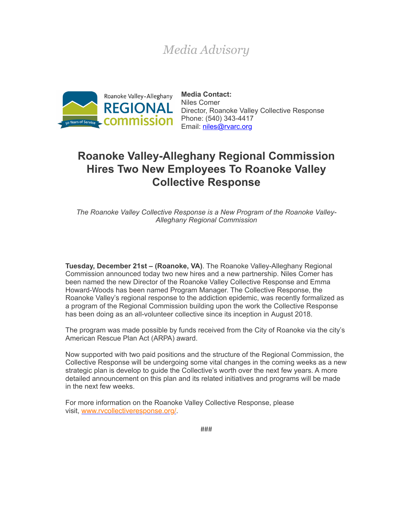## *Media Advisory*



**Media Contact:** Niles Comer Director, Roanoke Valley Collective Response Email: [niles@rvarc.org](mailto:niles@rvarc.org)

## **Roanoke Valley-Alleghany Regional Commission Hires Two New Employees To Roanoke Valley Collective Response**

*The Roanoke Valley Collective Response is a New Program of the Roanoke Valley-Alleghany Regional Commission*

**Tuesday, December 21st – (Roanoke, VA)**. The Roanoke Valley-Alleghany Regional Commission announced today two new hires and a new partnership. Niles Comer has been named the new Director of the Roanoke Valley Collective Response and Emma Howard-Woods has been named Program Manager. The Collective Response, the Roanoke Valley's regional response to the addiction epidemic, was recently formalized as a program of the Regional Commission building upon the work the Collective Response has been doing as an all-volunteer collective since its inception in August 2018.

The program was made possible by funds received from the City of Roanoke via the city's American Rescue Plan Act (ARPA) award.

Now supported with two paid positions and the structure of the Regional Commission, the Collective Response will be undergoing some vital changes in the coming weeks as a new strategic plan is develop to guide the Collective's worth over the next few years. A more detailed announcement on this plan and its related initiatives and programs will be made in the next few weeks.

For more information on the Roanoke Valley Collective Response, please visit, [www.rvcollectiveresponse.org/.](https://r20.rs6.net/tn.jsp?f=001GEptWceIvygEYZq-QpAXT27t9IO1os-lrGrnpeuLqWnVLbaB7zZR-xYJEuOJc6BoO5HSoYMKmEpX2ndlUekYQd6zfm0zZSvCSCoBu6nnKRYVIuWqOHY3_O6RSO9od42VwpC4rpUUabgukgZKya9fiUEyk46P0dIv&c=GFoX5KK-Shw8Wi3Rd4hmayY3vEALTi_w6EmYNGMcybzG4x3vn-fvHQ==&ch=gyS0BEqbYwrMBfZxGyrDqR3v2Qlu6bbjzO8pXhy2ypSlU7WEmMQoMw==)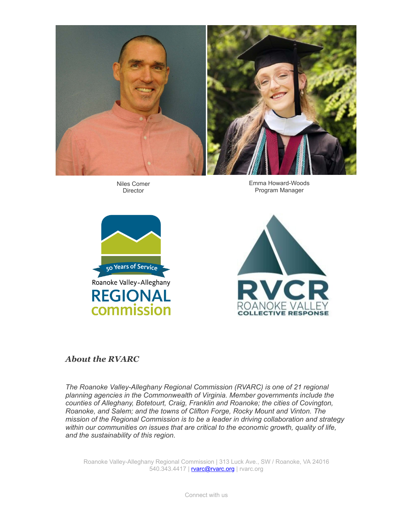

Niles Comer Director

Emma Howard-Woods Program Manager





## *About the RVARC*

*The Roanoke Valley-Alleghany Regional Commission (RVARC) is one of 21 regional planning agencies in the Commonwealth of Virginia. Member governments include the counties of Alleghany, Botetourt, Craig, Franklin and Roanoke; the cities of Covington, Roanoke, and Salem; and the towns of Clifton Forge, Rocky Mount and Vinton. The mission of the Regional Commission is to be a leader in driving collaboration and strategy within our communities on issues that are critical to the economic growth, quality of life, and the sustainability of this region.*

Roanoke Valley-Alleghany Regional Commission | 313 Luck Ave., SW / Roanoke, VA 24016 540.343.4417 | **[rvarc@rvarc.org](mailto:rvarc@rvarc.org)** | rvarc.org

Connect with us